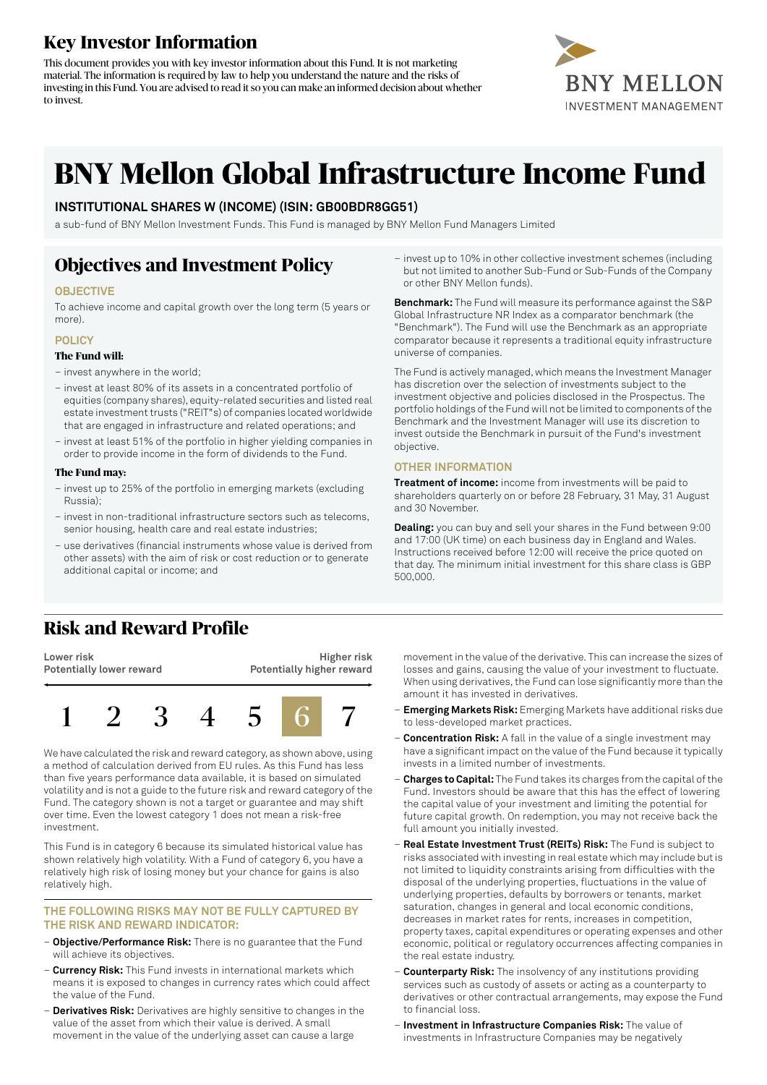# **Key Investor Information**

This document provides you with key investor information about this Fund. It is not marketing material. The information is required by law to help you understand the nature and the risks of investing in this Fund. You are advised to read it so you can make an informed decision about whether to invest.



# **BNY Mellon Global Infrastructure Income Fund**

### **INSTITUTIONAL SHARES W (INCOME) (ISIN: GB00BDR8GG51)**

a sub-fund of BNY Mellon Investment Funds. This Fund is managed by BNY Mellon Fund Managers Limited

# **Objectives and Investment Policy**

### **OBJECTIVE**

To achieve income and capital growth over the long term (5 years or more).

### **POLICY**

#### **The Fund will:**

- invest anywhere in the world;
- invest at least 80% of its assets in a concentrated portfolio of equities (company shares), equity-related securities and listed real estate investment trusts ("REIT"s) of companies located worldwide that are engaged in infrastructure and related operations; and
- invest at least 51% of the portfolio in higher yielding companies in order to provide income in the form of dividends to the Fund.

#### **The Fund may:**

- invest up to 25% of the portfolio in emerging markets (excluding Russia);
- invest in non-traditional infrastructure sectors such as telecoms, senior housing, health care and real estate industries;
- use derivatives (financial instruments whose value is derived from other assets) with the aim of risk or cost reduction or to generate additional capital or income; and
- **Risk and Reward Profile**

**Lower risk Potentially lower reward**

**Higher risk Potentially higher reward**



We have calculated the risk and reward category, as shown above, using a method of calculation derived from EU rules. As this Fund has less than five years performance data available, it is based on simulated volatility and is not a guide to the future risk and reward category of the Fund. The category shown is not a target or guarantee and may shift over time. Even the lowest category 1 does not mean a risk-free investment.

This Fund is in category 6 because its simulated historical value has shown relatively high volatility. With a Fund of category 6, you have a relatively high risk of losing money but your chance for gains is also relatively high.

### **THE FOLLOWING RISKS MAY NOT BE FULLY CAPTURED BY THE RISK AND REWARD INDICATOR:**

- **Objective/Performance Risk:** There is no guarantee that the Fund will achieve its objectives.
- **Currency Risk:** This Fund invests in international markets which means it is exposed to changes in currency rates which could affect the value of the Fund.
- **Derivatives Risk:** Derivatives are highly sensitive to changes in the value of the asset from which their value is derived. A small movement in the value of the underlying asset can cause a large

– invest up to 10% in other collective investment schemes (including but not limited to another Sub-Fund or Sub-Funds of the Company or other BNY Mellon funds).

**Benchmark:** The Fund will measure its performance against the S&P Global Infrastructure NR Index as a comparator benchmark (the "Benchmark"). The Fund will use the Benchmark as an appropriate comparator because it represents a traditional equity infrastructure universe of companies.

The Fund is actively managed, which means the Investment Manager has discretion over the selection of investments subject to the investment objective and policies disclosed in the Prospectus. The portfolio holdings ofthe Fund will not be limited to components ofthe Benchmark and the Investment Manager will use its discretion to invest outside the Benchmark in pursuit of the Fund's investment objective.

### **OTHER INFORMATION**

**Treatment of income:** income from investments will be paid to shareholders quarterly on or before 28 February, 31 May, 31 August and 30 November.

**Dealing:** you can buy and sell your shares in the Fund between 9:00 and 17:00 (UK time) on each business day in England and Wales. Instructions received before 12:00 will receive the price quoted on that day. The minimum initial investment for this share class is GBP 500,000.

movement in the value of the derivative. This can increase the sizes of losses and gains, causing the value of your investment to fluctuate. When using derivatives, the Fund can lose significantly more than the amount it has invested in derivatives.

- **Emerging Markets Risk:** Emerging Markets have additional risks due to less-developed market practices.
- **Concentration Risk:** A fall in the value of a single investment may have a significant impact on the value of the Fund because it typically invests in a limited number of investments.
- **Charges to Capital:** The Fund takes its charges from the capital ofthe Fund. Investors should be aware that this has the effect of lowering the capital value of your investment and limiting the potential for future capital growth. On redemption, you may not receive back the full amount you initially invested.
- **Real Estate Investment Trust (REITs) Risk:** The Fund is subject to risks associated with investing in real estate which may include but is not limited to liquidity constraints arising from difficulties with the disposal of the underlying properties, fluctuations in the value of underlying properties, defaults by borrowers or tenants, market saturation, changes in general and local economic conditions, decreases in market rates for rents, increases in competition, property taxes, capital expenditures or operating expenses and other economic, political or regulatory occurrences affecting companies in the real estate industry.
- **Counterparty Risk:** The insolvency of any institutions providing services such as custody of assets or acting as a counterparty to derivatives or other contractual arrangements, may expose the Fund to financial loss.
- **Investment in Infrastructure Companies Risk:** The value of investments in Infrastructure Companies may be negatively